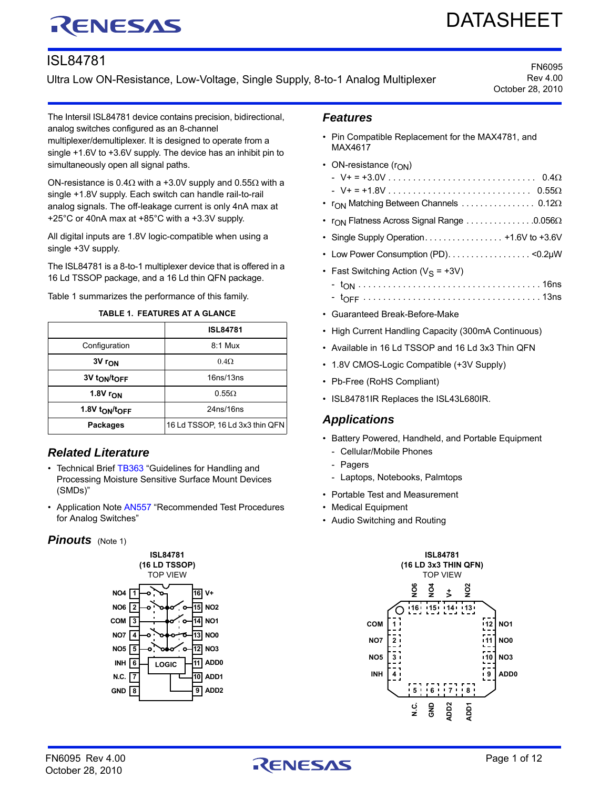# RENESAS

# DATASHEET

# ISL84781

Ultra Low ON-Resistance, Low-Voltage, Single Supply, 8-to-1 Analog Multiplexer

FN6095 Rev 4.00 October 28, 2010

The Intersil ISL84781 device contains precision, bidirectional, analog switches configured as an 8-channel

multiplexer/demultiplexer. It is designed to operate from a single +1.6V to +3.6V supply. The device has an inhibit pin to simultaneously open all signal paths.

ON-resistance is 0.4 $\Omega$  with a +3.0V supply and 0.55 $\Omega$  with a single +1.8V supply. Each switch can handle rail-to-rail analog signals. The off-leakage current is only 4nA max at +25°C or 40nA max at +85°C with a +3.3V supply.

All digital inputs are 1.8V logic-compatible when using a single +3V supply.

The ISL84781 is a 8-to-1 multiplexer device that is offered in a 16 Ld TSSOP package, and a 16 Ld thin QFN package.

Table 1 summarizes the performance of this family.

| TABLE 1.  FEATURES AT A GLANCE |
|--------------------------------|
|--------------------------------|

|                                        | <b>ISL84781</b>                 |
|----------------------------------------|---------------------------------|
| Configuration                          | $8:1$ Mux                       |
| 3V r <sub>ON</sub>                     | $0.4\Omega$                     |
| 3V t <sub>ON</sub> /t <sub>OFF</sub>   | 16ns/13ns                       |
| $1.8V$ r <sub>ON</sub>                 | $0.55\Omega$                    |
| 1.8V t <sub>ON</sub> /t <sub>OFF</sub> | 24ns/16ns                       |
| <b>Packages</b>                        | 16 Ld TSSOP, 16 Ld 3x3 thin QFN |

# *Related Literature*

- Technical Brief [TB363](http://www.intersil.com/data/tb/tb363.pdf) "Guidelines for Handling and Processing Moisture Sensitive Surface Mount Devices (SMDs)"
- Application Note [AN557](http://www.intersil.com/data/an/an557.pdf) "Recommended Test Procedures for Analog Switches"

### **Pinouts** (Note [1](#page-1-0))



## *Features*

- Pin Compatible Replacement for the MAX4781, and MAX4617
- ON-resistance  $(r_{ON})$ 
	- V+ = +3.0V . . . . . . . . . . . . . . . . . . . . . . . . . . . . . . 0.4 - V+ = +1.8V . . . . . . . . . . . . . . . . . . . . . . . . . . . . . 0.55
- $r_{ON}$  Matching Between Channels  $\ldots \ldots \ldots \ldots$  0.12 $\Omega$
- $r_{\text{ON}}$  Flatness Across Signal Range  $\dots \dots \dots \dots \dots \dots \dots \dots \dots \dots \dots \dots$
- Single Supply Operation. . . . . . . . . . . . . . . . . +1.6V to +3.6V
- Low Power Consumption (PD). . . . . . . . . . . . . . . . . . <0.2µW
- Fast Switching Action  $(V_S = +3V)$
- tON . . . . . . . . . . . . . . . . . . . . . . . . . . . . . . . . . . . . . 16ns - tOFF . . . . . . . . . . . . . . . . . . . . . . . . . . . . . . . . . . . . 13ns
- Guaranteed Break-Before-Make
- High Current Handling Capacity (300mA Continuous)
- Available in 16 Ld TSSOP and 16 Ld 3x3 Thin QFN
- 1.8V CMOS-Logic Compatible (+3V Supply)
- Pb-Free (RoHS Compliant)
- ISL84781IR Replaces the ISL43L680IR.

# *Applications*

- Battery Powered, Handheld, and Portable Equipment
	- Cellular/Mobile Phones
	- Pagers
	- Laptops, Notebooks, Palmtops
- Portable Test and Measurement
- Medical Equipment
- Audio Switching and Routing

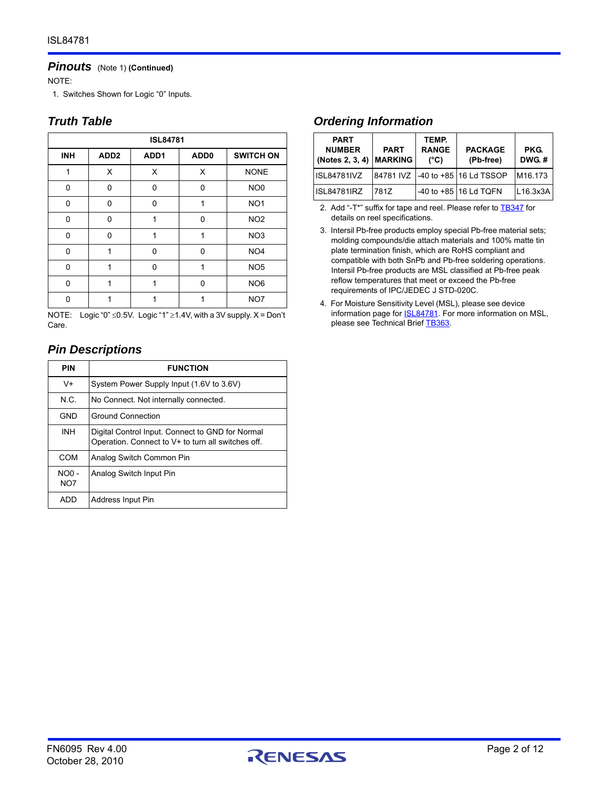#### *Pinouts* (Note 1) **(Continued)**

NOTE:

<span id="page-1-0"></span>1. Switches Shown for Logic "0" Inputs.

# *Truth Table*

| <b>ISL84781</b> |                  |                  |                  |                  |  |  |  |
|-----------------|------------------|------------------|------------------|------------------|--|--|--|
| <b>INH</b>      | ADD <sub>2</sub> | ADD <sub>1</sub> | ADD <sub>0</sub> | <b>SWITCH ON</b> |  |  |  |
| 1               | X                | X                | X                | <b>NONE</b>      |  |  |  |
| 0               | $\Omega$         | 0                | 0                | NO <sub>0</sub>  |  |  |  |
| 0               | 0                | 0                | 1                | NO <sub>1</sub>  |  |  |  |
| 0               | $\Omega$         | 1                | 0                | NO <sub>2</sub>  |  |  |  |
| 0               | 0                | 1                | 1                | NO <sub>3</sub>  |  |  |  |
| 0               | 1                | 0                | 0                | NO <sub>4</sub>  |  |  |  |
| 0               | 1                | O                | 1                | NO <sub>5</sub>  |  |  |  |
| 0               | 1                | 1                | 0                | NO <sub>6</sub>  |  |  |  |
| ŋ               |                  |                  |                  | NO7              |  |  |  |

NOTE: Logic "0"  $\leq$ 0.5V. Logic "1"  $\geq$ 1.4V, with a 3V supply. X = Don't Care.

# *Pin Descriptions*

| <b>PIN</b>                 | <b>FUNCTION</b>                                                                                        |
|----------------------------|--------------------------------------------------------------------------------------------------------|
| $V +$                      | System Power Supply Input (1.6V to 3.6V)                                                               |
| N.C.                       | No Connect. Not internally connected.                                                                  |
| <b>GND</b>                 | <b>Ground Connection</b>                                                                               |
| <b>INH</b>                 | Digital Control Input. Connect to GND for Normal<br>Operation. Connect to V+ to turn all switches off. |
| COM                        | Analog Switch Common Pin                                                                               |
| $NOO -$<br>NO <sub>7</sub> | Analog Switch Input Pin                                                                                |
| ADD                        | Address Input Pin                                                                                      |

# *Ordering Information*

| <b>PART</b><br><b>NUMBER</b><br>(Notes 2, 3, 4) MARKING | <b>PART</b> | TEMP.<br><b>RANGE</b><br>(°C) | <b>PACKAGE</b><br>(Pb-free)          | <b>PKG.</b><br>DWG.# |
|---------------------------------------------------------|-------------|-------------------------------|--------------------------------------|----------------------|
| <b>ISL84781IVZ</b>                                      |             |                               | 84781 IVZ   -40 to +85   16 Ld TSSOP | M <sub>16</sub> .173 |
| <b>ISL84781IRZ</b>                                      | 7817        |                               | -40 to +85 16 Ld TQFN                | L16.3x3A             |

<span id="page-1-1"></span>2. Add "-T\*" suffix for tape and reel. Please refer to **[TB347](http://www.intersil.com/data/tb/tb347.pdf)** for details on reel specifications.

<span id="page-1-2"></span>3. Intersil Pb-free products employ special Pb-free material sets; molding compounds/die attach materials and 100% matte tin plate termination finish, which are RoHS compliant and compatible with both SnPb and Pb-free soldering operations. Intersil Pb-free products are MSL classified at Pb-free peak reflow temperatures that meet or exceed the Pb-free requirements of IPC/JEDEC J STD-020C.

<span id="page-1-3"></span>4. For Moisture Sensitivity Level (MSL), please see device information page for **[ISL84781](http://www.intersil.com/cda/deviceinfo/0,1477,ISL84781,00.html#data)**. For more information on MSL, please see Technical Brief [TB363](http://www.intersil.com/data/tb/tb363.pdf).

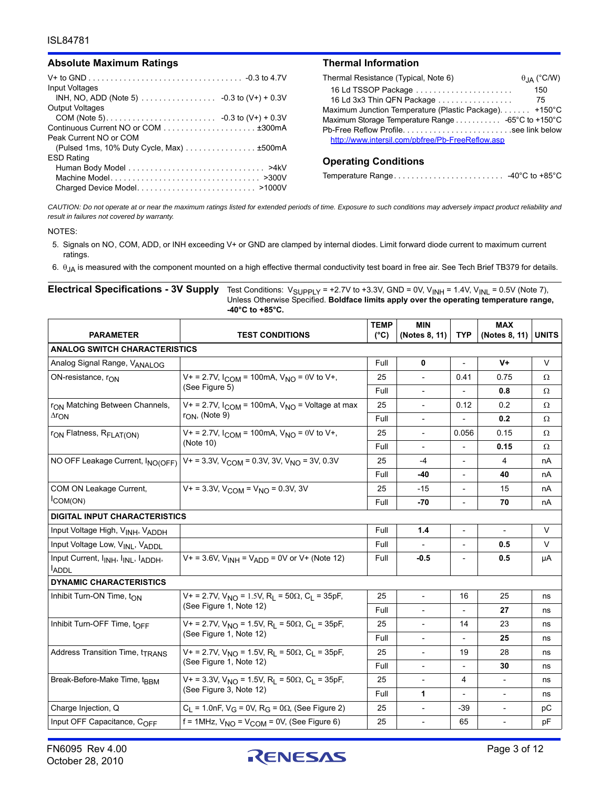#### Absolute Maximum Ratings **Thermal Information**

|                                          | Ther |
|------------------------------------------|------|
| <b>Input Voltages</b>                    | 16   |
|                                          | 16   |
| <b>Output Voltages</b>                   | Maxi |
|                                          | Maxi |
|                                          | Ph-F |
| Peak Current NO or COM                   | htt  |
| (Pulsed 1ms, 10% Duty Cycle, Max) ±500mA |      |
| <b>ESD Rating</b>                        | Opo  |
|                                          |      |
|                                          | Temı |
|                                          |      |

| Thermal Resistance (Typical, Note 6)                                     | $\theta$ <sub>JA</sub> (°C/W) |
|--------------------------------------------------------------------------|-------------------------------|
| 16 Ld TSSOP Package                                                      | 150                           |
| 16 Ld 3x3 Thin QFN Package                                               | - 75                          |
| Maximum Junction Temperature (Plastic Package) +150°C                    |                               |
| Maximum Storage Temperature Range $\ldots \ldots \ldots$ -65°C to +150°C |                               |
|                                                                          |                               |
| http://www.intersil.com/pbfree/Pb-FreeReflow.asp                         |                               |

#### **Operating Conditions**

| Temperature Range |  | -40 $^{\circ}$ C to +85 $^{\circ}$ C |
|-------------------|--|--------------------------------------|
|-------------------|--|--------------------------------------|

*CAUTION: Do not operate at or near the maximum ratings listed for extended periods of time. Exposure to such conditions may adversely impact product reliability and result in failures not covered by warranty.*

#### NOTES:

- <span id="page-2-1"></span>5. Signals on NO, COM, ADD, or INH exceeding V+ or GND are clamped by internal diodes. Limit forward diode current to maximum current ratings.
- <span id="page-2-0"></span>6.  $\theta_{JA}$  is measured with the component mounted on a high effective thermal conductivity test board in free air. See Tech Brief TB379 for details.

**Electrical Specifications - 3V Supply** Test Conditions: V<sub>SUPPLY</sub> = +2.[7](#page-3-2)V to +3.3V, GND = 0V, V<sub>INH</sub> = 1.4V, V<sub>INL</sub> = 0.5V (Note 7), Unless Otherwise Specified. **Boldface limits apply over the operating temperature range, -40°C to +85°C.**

|                                                                                         | <b>TEST CONDITIONS</b>                                                                                          |      | <b>MIN</b>               |                          | <b>MAX</b>               |              |  |
|-----------------------------------------------------------------------------------------|-----------------------------------------------------------------------------------------------------------------|------|--------------------------|--------------------------|--------------------------|--------------|--|
| <b>PARAMETER</b>                                                                        |                                                                                                                 |      | (Notes 8, 11)            | <b>TYP</b>               | (Notes 8, 11)            | <b>UNITS</b> |  |
| <b>ANALOG SWITCH CHARACTERISTICS</b>                                                    |                                                                                                                 |      |                          |                          |                          |              |  |
| Analog Signal Range, VANALOG                                                            |                                                                                                                 | Full | 0                        |                          | V+                       | V            |  |
| ON-resistance, r <sub>ON</sub>                                                          | $V_+$ = 2.7V, $I_{COM}$ = 100mA, $V_{NO}$ = 0V to V+,                                                           | 25   | $\overline{\phantom{0}}$ | 0.41                     | 0.75                     | Ω            |  |
|                                                                                         | (See Figure 5)                                                                                                  | Full | $\overline{a}$           |                          | 0.8                      | Ω            |  |
| r <sub>ON</sub> Matching Between Channels,                                              | $V_+$ = 2.7V, $I_{COM}$ = 100mA, $V_{NO}$ = Voltage at max                                                      | 25   | $\frac{1}{2}$            | 0.12                     | 0.2                      | Ω            |  |
| $\Delta r$ <sub>ON</sub>                                                                | $r_{ON}$ , (Note 9)                                                                                             | Full | $\overline{\phantom{a}}$ |                          | 0.2                      | Ω            |  |
| r <sub>ON</sub> Flatness, R <sub>FLAT(ON)</sub>                                         | $V_+$ = 2.7V, $I_{COM}$ = 100mA, $V_{NO}$ = 0V to V+,                                                           | 25   | $\overline{\phantom{a}}$ | 0.056                    | 0.15                     | Ω            |  |
|                                                                                         | (Note 10)                                                                                                       | Full | $\qquad \qquad -$        |                          | 0.15                     | Ω            |  |
| NO OFF Leakage Current, INO(OFF)                                                        | $V_+$ = 3.3V, V <sub>COM</sub> = 0.3V, 3V, V <sub>NO</sub> = 3V, 0.3V                                           | 25   | -4                       |                          | $\overline{4}$           | nA           |  |
|                                                                                         |                                                                                                                 | Full | -40                      | $\overline{\phantom{a}}$ | 40                       | nA           |  |
| COM ON Leakage Current,                                                                 | $V_+$ = 3.3V, $V_{\text{COM}}$ = $V_{\text{NO}}$ = 0.3V, 3V                                                     | 25   | $-15$                    |                          | 15                       | nA           |  |
| $ICOM(ON)$                                                                              |                                                                                                                 |      | $-70$                    |                          | 70                       | nA           |  |
| <b>DIGITAL INPUT CHARACTERISTICS</b>                                                    |                                                                                                                 |      |                          |                          |                          |              |  |
| Input Voltage High, VINH, VADDH                                                         |                                                                                                                 | Full | 1.4                      | $\overline{\phantom{a}}$ | $\overline{\phantom{a}}$ | $\vee$       |  |
| Input Voltage Low, VINL, VADDL                                                          |                                                                                                                 | Full |                          |                          | 0.5                      | V            |  |
| Input Current, I <sub>INH</sub> , I <sub>INL</sub> , I <sub>ADDH</sub> ,<br><b>ADDL</b> | $V_+$ = 3.6V, $V_{INH}$ = $V_{ADD}$ = 0V or V+ (Note 12)                                                        | Full | $-0.5$                   | ÷,                       | 0.5                      | μA           |  |
| <b>DYNAMIC CHARACTERISTICS</b>                                                          |                                                                                                                 |      |                          |                          |                          |              |  |
| Inhibit Turn-ON Time, $t_{ON}$                                                          | $V_+$ = 2.7V, $V_{NO}$ = 1.5V, R <sub>L</sub> = 50 $\Omega$ , C <sub>L</sub> = 35pF,                            | 25   | $\overline{\phantom{a}}$ | 16                       | 25                       | ns           |  |
|                                                                                         | (See Figure 1, Note 12)                                                                                         |      |                          |                          | 27                       | ns           |  |
| Inhibit Turn-OFF Time, tOFF                                                             | $V_+$ = 2.7V, $V_{NO}$ = 1.5V, R <sub>L</sub> = 50 $\Omega$ , C <sub>L</sub> = 35pF,<br>(See Figure 1, Note 12) | 25   | $\qquad \qquad -$        | 14                       | 23                       | ns           |  |
|                                                                                         |                                                                                                                 | Full | $\overline{\phantom{a}}$ |                          | 25                       | ns           |  |
| Address Transition Time, t <sub>TRANS</sub>                                             | $V_1 = 2.7V$ , $V_{NQ} = 1.5V$ , $R_1 = 50\Omega$ , $C_1 = 35pF$ ,                                              | 25   | $\overline{\phantom{a}}$ | 19                       | 28                       | ns           |  |
|                                                                                         | (See Figure 1, Note 12)                                                                                         | Full | $\centerdot$             |                          | 30                       | ns           |  |
| Break-Before-Make Time, tBBM                                                            | $V_1 = 3.3V$ , $V_{NQ} = 1.5V$ , R <sub>1</sub> = 50 $\Omega$ , C <sub>1</sub> = 35pF,                          | 25   | $\frac{1}{2}$            | 4                        | $\overline{\phantom{0}}$ | ns           |  |
|                                                                                         | (See Figure 3, Note 12)                                                                                         | Full | 1                        | $\overline{\phantom{a}}$ | $\overline{\phantom{a}}$ | ns           |  |
| Charge Injection, Q                                                                     | $C_1 = 1.0$ nF, V <sub>G</sub> = 0V, R <sub>G</sub> = 0 $\Omega$ , (See Figure 2)                               | 25   | $\overline{a}$           | $-39$                    | $\overline{a}$           | pC           |  |
| Input OFF Capacitance, COFF                                                             | f = 1MHz, $V_{NO}$ = $V_{COM}$ = 0V, (See Figure 6)                                                             | 25   | $\overline{a}$           | 65                       |                          | pF           |  |

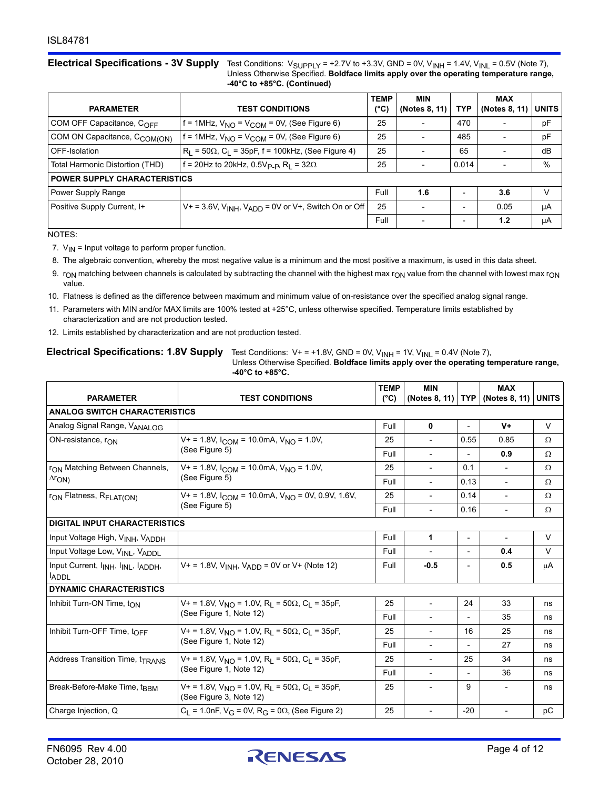**Electrical Specifications - 3V Supply** Test Conditions: V<sub>SUPPLY</sub> = +2.7V to +3.3V, GND = 0V, V<sub>INH</sub> = 1.4V, V<sub>INL</sub> = 0.5V (Note 7), Unless Otherwise Specified. **Boldface limits apply over the operating temperature range, -40°C to +85°C. (Continued)**

| <b>PARAMETER</b>                         | <b>TEST CONDITIONS</b>                                                  | <b>TEMP</b><br>′°C) | <b>MIN</b><br>(Notes 8, 11) | <b>TYP</b>               | <b>MAX</b><br>(Notes 8, 11) | <b>UNITS</b> |
|------------------------------------------|-------------------------------------------------------------------------|---------------------|-----------------------------|--------------------------|-----------------------------|--------------|
| COM OFF Capacitance, COFF                | f = 1MHz, $V_{NO}$ = $V_{COM}$ = 0V, (See Figure 6)                     |                     | $\overline{\phantom{0}}$    | 470                      |                             | pF           |
| COM ON Capacitance, C <sub>COM(ON)</sub> | $f = 1$ MHz, $V_{NO} = V_{COM} = 0V$ , (See Figure 6)                   | 25                  | $\overline{a}$              | 485                      | $\overline{\phantom{a}}$    | pF           |
| OFF-Isolation                            | $R_L$ = 50 $\Omega$ , C <sub>L</sub> = 35pF, f = 100kHz, (See Figure 4) | 25                  | $\overline{\phantom{0}}$    | 65                       | $\overline{\phantom{0}}$    | dB           |
| Total Harmonic Distortion (THD)          | f = 20Hz to 20kHz, 0.5V <sub>P-P</sub> , R <sub>I</sub> = 32 $\Omega$   |                     | $\overline{\phantom{a}}$    | 0.014                    | $\overline{\phantom{0}}$    | %            |
| <b>POWER SUPPLY CHARACTERISTICS</b>      |                                                                         |                     |                             |                          |                             |              |
| Power Supply Range                       |                                                                         | Full                | 1.6                         | $\overline{\phantom{0}}$ | 3.6                         | V            |
| Positive Supply Current, I+              | $V_+$ = 3.6V, $V_{INH}$ , $V_{ADD}$ = 0V or V+, Switch On or Off        | 25                  | $\overline{\phantom{0}}$    | $\overline{\phantom{0}}$ | 0.05                        | μA           |
|                                          |                                                                         | Full                |                             | $\overline{\phantom{a}}$ | 1.2                         | μA           |

NOTES:

- <span id="page-3-2"></span>7.  $V_{IN}$  = Input voltage to perform proper function.
- <span id="page-3-1"></span>8. The algebraic convention, whereby the most negative value is a minimum and the most positive a maximum, is used in this data sheet.
- <span id="page-3-3"></span>9.  $r_{ON}$  matching between channels is calculated by subtracting the channel with the highest max  $r_{ON}$  value from the channel with lowest max  $r_{ON}$ value.
- <span id="page-3-4"></span>10. Flatness is defined as the difference between maximum and minimum value of on-resistance over the specified analog signal range.
- <span id="page-3-0"></span>11. Parameters with MIN and/or MAX limits are 100% tested at +25°C, unless otherwise specified. Temperature limits established by characterization and are not production tested.
- <span id="page-3-5"></span>12. Limits established by characterization and are not production tested.

| $-40^{\circ}$ C to +85 $^{\circ}$ C.                                       |                                                                                                              |                              |                             |                          |                             |              |
|----------------------------------------------------------------------------|--------------------------------------------------------------------------------------------------------------|------------------------------|-----------------------------|--------------------------|-----------------------------|--------------|
| <b>PARAMETER</b>                                                           | <b>TEST CONDITIONS</b>                                                                                       | <b>TEMP</b><br>$(^{\circ}C)$ | <b>MIN</b><br>(Notes 8, 11) | <b>TYP</b>               | <b>MAX</b><br>(Notes 8, 11) | <b>UNITS</b> |
| <b>ANALOG SWITCH CHARACTERISTICS</b>                                       |                                                                                                              |                              |                             |                          |                             |              |
| Analog Signal Range, VANALOG                                               |                                                                                                              | Full                         | 0                           |                          | $V +$                       | $\vee$       |
| ON-resistance, r <sub>ON</sub>                                             | $V_+$ = 1.8V, $I_{COM}$ = 10.0mA, $V_{NO}$ = 1.0V,                                                           | 25                           | $\overline{a}$              | 0.55                     | 0.85                        | Ω            |
|                                                                            | (See Figure 5)                                                                                               | Full                         | $\blacksquare$              |                          | 0.9                         | Ω            |
| r <sub>ON</sub> Matching Between Channels,                                 | $V_+$ = 1.8V, $I_{\text{COM}}$ = 10.0mA, $V_{\text{NO}}$ = 1.0V,                                             | 25                           | $\overline{a}$              | 0.1                      | $\overline{\phantom{a}}$    | Ω            |
| $\Delta r_{\text{ON}}$                                                     | (See Figure 5)                                                                                               | Full                         | $\overline{\phantom{a}}$    | 0.13                     | $\blacksquare$              | Ω            |
| r <sub>ON</sub> Flatness, R <sub>FLAT(ON)</sub>                            | $V_+$ = 1.8V, $I_{COM}$ = 10.0mA, $V_{NO}$ = 0V, 0.9V, 1.6V,                                                 | 25                           | $\overline{a}$              | 0.14                     | $\overline{\phantom{0}}$    | Ω            |
|                                                                            | (See Figure 5)                                                                                               |                              | $\blacksquare$              | 0.16                     | $\overline{\phantom{a}}$    | Ω            |
| <b>DIGITAL INPUT CHARACTERISTICS</b>                                       |                                                                                                              |                              |                             |                          |                             |              |
| Input Voltage High, VINH, VADDH                                            |                                                                                                              | Full                         | 1                           | $\overline{\phantom{a}}$ | $\overline{\phantom{a}}$    | $\vee$       |
| Input Voltage Low, VINL, VADDL                                             |                                                                                                              | Full                         |                             | $\overline{\phantom{a}}$ | 0.4                         | $\vee$       |
| Input Current, I <sub>INH</sub> , I <sub>INL</sub> , IADDH,<br><b>ADDL</b> | $V_+$ = 1.8V, $V_{INH}$ , $V_{ADD}$ = 0V or V+ (Note 12)                                                     | Full                         | $-0.5$                      | $\overline{\phantom{a}}$ | 0.5                         | μA           |
| <b>DYNAMIC CHARACTERISTICS</b>                                             |                                                                                                              |                              |                             |                          |                             |              |
| Inhibit Turn-ON Time, $t_{ON}$                                             | V+ = 1.8V, $V_{NO}$ = 1.0V, R <sub>1</sub> = 50 $\Omega$ , C <sub>1</sub> = 35pF,<br>(See Figure 1, Note 12) | 25                           | $\overline{a}$              | 24                       | 33                          | ns           |
|                                                                            |                                                                                                              | Full                         |                             |                          | 35                          | ns           |
| Inhibit Turn-OFF Time, tOFF                                                | V+ = 1.8V, $V_{NO}$ = 1.0V, R <sub>L</sub> = 50 $\Omega$ , C <sub>L</sub> = 35pF,                            | 25                           | $\overline{a}$              | 16                       | 25                          | ns           |
|                                                                            | (See Figure 1, Note 12)                                                                                      | Full                         | $\blacksquare$              |                          | 27                          | ns           |
| Address Transition Time, t <sub>TRANS</sub>                                | $V_1 = 1.8V$ , $V_{NQ} = 1.0V$ , R <sub>1</sub> = 50 $\Omega$ , C <sub>1</sub> = 35pF,                       | 25                           | $\overline{a}$              | 25                       | 34                          | ns           |
|                                                                            | (See Figure 1, Note 12)                                                                                      | Full                         |                             |                          | 36                          | ns           |
| Break-Before-Make Time, tBBM                                               | V+ = 1.8V, $V_{NO}$ = 1.0V, R <sub>1</sub> = 50 $\Omega$ , C <sub>1</sub> = 35pF,<br>(See Figure 3, Note 12) | 25                           | $\overline{a}$              | 9                        | $\overline{\phantom{a}}$    | ns           |
| Charge Injection, Q                                                        | $C_1 = 1.0$ nF, V <sub>G</sub> = 0V, R <sub>G</sub> = 0 $\Omega$ , (See Figure 2)                            | 25                           |                             | $-20$                    |                             | pC           |

**Electrical Specifications: 1.8V Supply** Test Conditions:  $V+ = +1.8V$ , GND = 0V,  $V_{INH}$  = 1V,  $V_{INL}$  = 0.4V (Note [7\)](#page-3-2), Unless Otherwise Specified. **Boldface limits apply over the operating temperature range, -40°C to +85°C.**

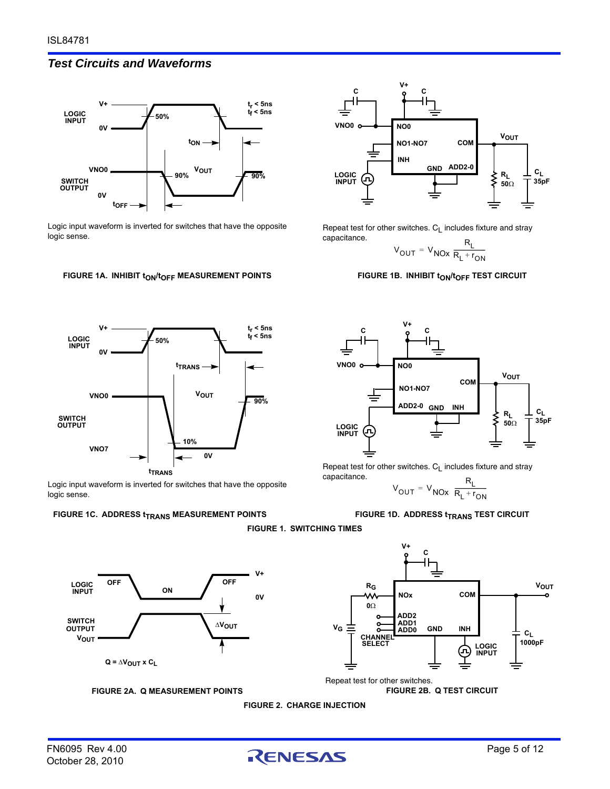## *Test Circuits and Waveforms*



Logic input waveform is inverted for switches that have the opposite logic sense.

#### FIGURE 1A. INHIBIT t<sub>ON</sub>/t<sub>OFF</sub> MEASUREMENT POINTS



Logic input waveform is inverted for switches that have the opposite logic sense.

#### <span id="page-4-0"></span>**FIGURE 1C. ADDRESS**  $t_{\text{TRANS}}$  **MEASUREMENT POINTS**



Repeat test for other switches.  $C_L$  includes fixture and stray capacitance.

$$
V_{OUT} = V_{NOX} \frac{R_L}{R_L + r_{ON}}
$$

#### **FIGURE 1B. INHIBIT tON/tOFF TEST CIRCUIT**



Repeat test for other switches.  $C_L$  includes fixture and stray capacitance. RL

$$
V_{\text{OUT}} = V_{\text{NOX}} \frac{R_{\text{L}}}{R_{\text{L}} + r_{\text{ON}}}
$$

**FIGURE 1D. ADDRESS t<sub>TRANS</sub> TEST CIRCUIT** 





<span id="page-4-1"></span>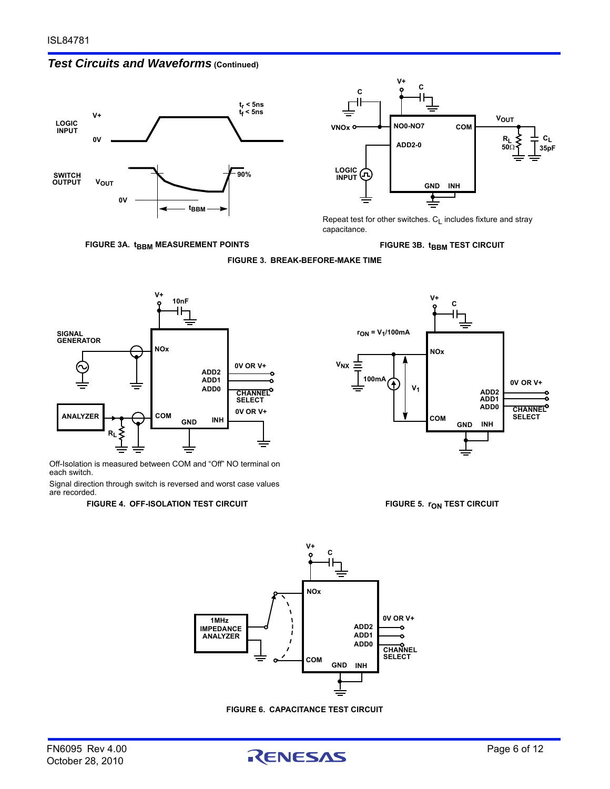



**FIGURE 3A. tBBM MEASUREMENT POINTS** 



Repeat test for other switches.  $C_L$  includes fixture and stray capacitance.

**FIGURE 3B. tBBM TEST CIRCUIT** 



<span id="page-5-1"></span>

Off-Isolation is measured between COM and "Off" NO terminal on each switch.

<span id="page-5-3"></span>Signal direction through switch is reversed and worst case values are recorded.

#### FIGURE 4. OFF-ISOLATION TEST CIRCUIT **FIGURE 5. row TEST CIRCUIT**



<span id="page-5-0"></span>



**FIGURE 6. CAPACITANCE TEST CIRCUIT**

<span id="page-5-2"></span>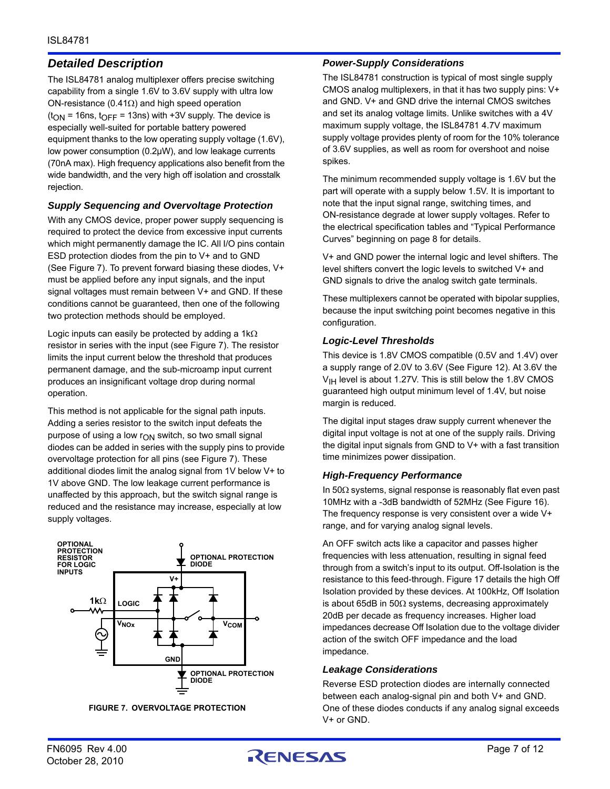# *Detailed Description*

The ISL84781 analog multiplexer offers precise switching capability from a single 1.6V to 3.6V supply with ultra low ON-resistance (0.41 $\Omega$ ) and high speed operation  $(t<sub>ON</sub> = 16ns, t<sub>OFF</sub> = 13ns)$  with +3V supply. The device is especially well-suited for portable battery powered equipment thanks to the low operating supply voltage (1.6V), low power consumption (0.2µW), and low leakage currents (70nA max). High frequency applications also benefit from the wide bandwidth, and the very high off isolation and crosstalk rejection.

### *Supply Sequencing and Overvoltage Protection*

With any CMOS device, proper power supply sequencing is required to protect the device from excessive input currents which might permanently damage the IC. All I/O pins contain ESD protection diodes from the pin to V+ and to GND (See Figure [7](#page-6-0)). To prevent forward biasing these diodes, V+ must be applied before any input signals, and the input signal voltages must remain between V+ and GND. If these conditions cannot be guaranteed, then one of the following two protection methods should be employed.

Logic inputs can easily be protected by adding a  $1k\Omega$ resistor in series with the input (see Figure [7](#page-6-0)). The resistor limits the input current below the threshold that produces permanent damage, and the sub-microamp input current produces an insignificant voltage drop during normal operation.

This method is not applicable for the signal path inputs. Adding a series resistor to the switch input defeats the purpose of using a low  $r_{ON}$  switch, so two small signal diodes can be added in series with the supply pins to provide overvoltage protection for all pins (see Figure [7](#page-6-0)). These additional diodes limit the analog signal from 1V below V+ to 1V above GND. The low leakage current performance is unaffected by this approach, but the switch signal range is reduced and the resistance may increase, especially at low supply voltages.



<span id="page-6-0"></span>**FIGURE 7. OVERVOLTAGE PROTECTION**

#### *Power-Supply Considerations*

The ISL84781 construction is typical of most single supply CMOS analog multiplexers, in that it has two supply pins: V+ and GND. V+ and GND drive the internal CMOS switches and set its analog voltage limits. Unlike switches with a 4V maximum supply voltage, the ISL84781 4.7V maximum supply voltage provides plenty of room for the 10% tolerance of 3.6V supplies, as well as room for overshoot and noise spikes.

The minimum recommended supply voltage is 1.6V but the part will operate with a supply below 1.5V. It is important to note that the input signal range, switching times, and ON-resistance degrade at lower supply voltages. Refer to the electrical specification tables and "Typical Performance Curves" beginning on [page 8](#page-7-0) for details.

V+ and GND power the internal logic and level shifters. The level shifters convert the logic levels to switched V+ and GND signals to drive the analog switch gate terminals.

These multiplexers cannot be operated with bipolar supplies, because the input switching point becomes negative in this configuration.

#### *Logic-Level Thresholds*

This device is 1.8V CMOS compatible (0.5V and 1.4V) over a supply range of 2.0V to 3.6V (See Figure [12\)](#page-8-0). At 3.6V the  $V<sub>IH</sub>$  level is about 1.27V. This is still below the 1.8V CMOS guaranteed high output minimum level of 1.4V, but noise margin is reduced.

The digital input stages draw supply current whenever the digital input voltage is not at one of the supply rails. Driving the digital input signals from GND to V+ with a fast transition time minimizes power dissipation.

#### *High-Frequency Performance*

In  $50\Omega$  systems, signal response is reasonably flat even past 10MHz with a -3dB bandwidth of 52MHz (See Figure [16](#page-8-1)). The frequency response is very consistent over a wide V+ range, and for varying analog signal levels.

An OFF switch acts like a capacitor and passes higher frequencies with less attenuation, resulting in signal feed through from a switch's input to its output. Off-Isolation is the resistance to this feed-through. Figure [17](#page-8-2) details the high Off Isolation provided by these devices. At 100kHz, Off Isolation is about 65dB in 50 $\Omega$  systems, decreasing approximately 20dB per decade as frequency increases. Higher load impedances decrease Off Isolation due to the voltage divider action of the switch OFF impedance and the load impedance.

#### *Leakage Considerations*

Reverse ESD protection diodes are internally connected between each analog-signal pin and both V+ and GND. One of these diodes conducts if any analog signal exceeds V+ or GND.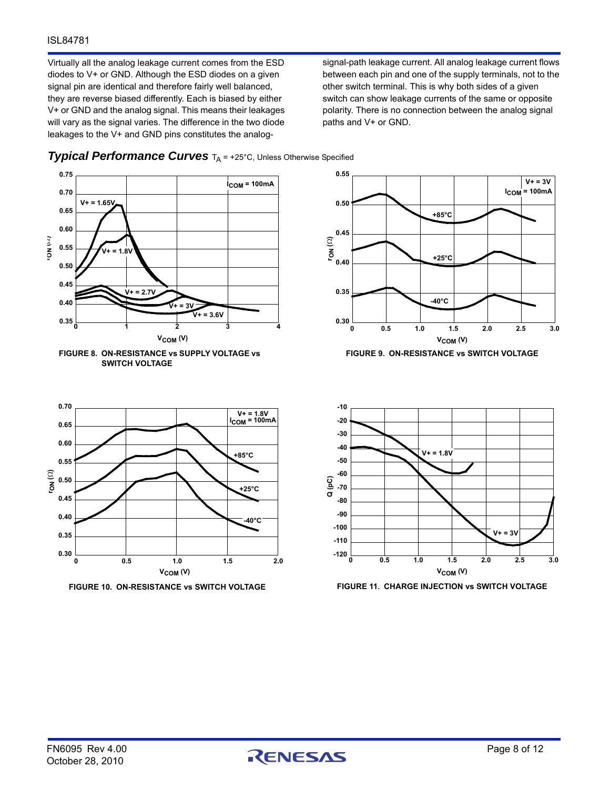#### ISL84781

Virtually all the analog leakage current comes from the ESD diodes to V+ or GND. Although the ESD diodes on a given signal pin are identical and therefore fairly well balanced, they are reverse biased differently. Each is biased by either V+ or GND and the analog signal. This means their leakages will vary as the signal varies. The difference in the two diode leakages to the V+ and GND pins constitutes the analogsignal-path leakage current. All analog leakage current flows between each pin and one of the supply terminals, not to the other switch terminal. This is why both sides of a given switch can show leakage currents of the same or opposite polarity. There is no connection between the analog signal paths and V+ or GND.



**0 0.5 1.0 1.5 2.0**

 $V_{COM} (V)$ 

#### <span id="page-7-0"></span>**Typical Performance Curves**  $T_A$  = +25°C, Unless Otherwise Specified



**VCOM (V)**

**+25°C**

**-40°C**

**+85°C**

**V+ = 3V ICOM = 100mA**



**0.30 0.35 0.40 0.45**



**FIGURE 10. ON-RESISTANCE vs SWITCH VOLTAGE FIGURE 11. CHARGE INJECTION vs SWITCH VOLTAGE**

**-40°C**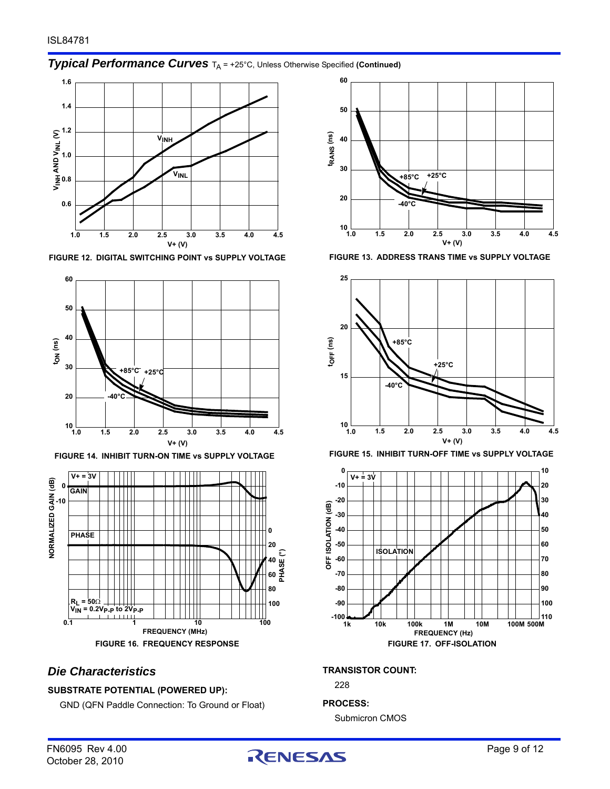# **Typical Performance Curves**  $T_A$  = +25°C, Unless Otherwise Specified (Continued)



<span id="page-8-0"></span>**FIGURE 12. DIGITAL SWITCHING POINT vs SUPPLY VOLTAGE FIGURE 13. ADDRESS TRANS TIME vs SUPPLY VOLTAGE**





# <span id="page-8-1"></span>*Die Characteristics*

#### **SUBSTRATE POTENTIAL (POWERED UP):**

GND (QFN Paddle Connection: To Ground or Float)







#### <span id="page-8-2"></span>**TRANSISTOR COUNT:**

228

#### **PROCESS:**

Submicron CMOS

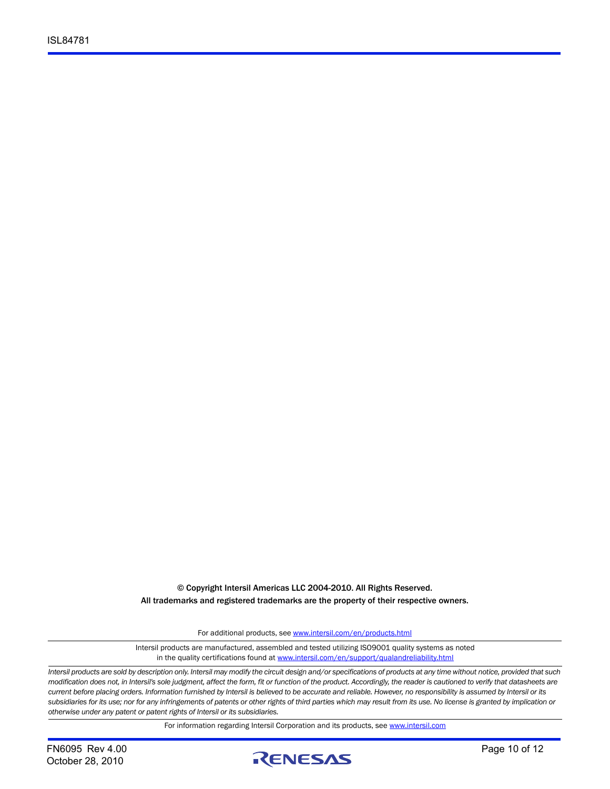© Copyright Intersil Americas LLC 2004-2010. All Rights Reserved. All trademarks and registered trademarks are the property of their respective owners.

For additional products, see [www.intersil.com/en/products.html](http://www.intersil.com/en/products.html?utm_source=Intersil&utm_medium=datasheet&utm_campaign=disclaimer-ds-footer)

[Intersil products are manufactured, assembled and tested utilizing ISO9001 quality systems as noted](http://www.intersil.com/en/products.html?utm_source=Intersil&utm_medium=datasheet&utm_campaign=disclaimer-ds-footer) in the quality certifications found at [www.intersil.com/en/support/qualandreliability.html](http://www.intersil.com/en/support/qualandreliability.html?utm_source=Intersil&utm_medium=datasheet&utm_campaign=disclaimer-ds-footer)

*Intersil products are sold by description only. Intersil may modify the circuit design and/or specifications of products at any time without notice, provided that such modification does not, in Intersil's sole judgment, affect the form, fit or function of the product. Accordingly, the reader is cautioned to verify that datasheets are current before placing orders. Information furnished by Intersil is believed to be accurate and reliable. However, no responsibility is assumed by Intersil or its subsidiaries for its use; nor for any infringements of patents or other rights of third parties which may result from its use. No license is granted by implication or otherwise under any patent or patent rights of Intersil or its subsidiaries.*

For information regarding Intersil Corporation and its products, see [www.intersil.com](http://www.intersil.com?utm_source=intersil&utm_medium=datasheet&utm_campaign=disclaimer-ds-footer)

October 28, 2010

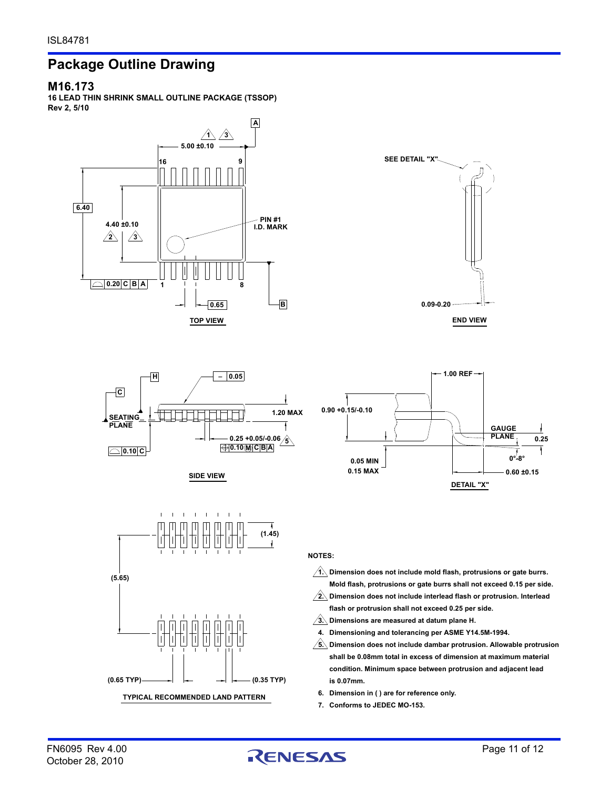# **Package Outline Drawing**

#### **M16.173**

**16 LEAD THIN SHRINK SMALL OUTLINE PACKAGE (TSSOP) Rev 2, 5/10**













**NOTES:**

- **Dimension does not include mold flash, protrusions or gate burrs. 1. Mold flash, protrusions or gate burrs shall not exceed 0.15 per side.**
- **Dimension does not include interlead flash or protrusion. Interlead 2. flash or protrusion shall not exceed 0.25 per side.**
- **Dimensions are measured at datum plane H. 3.**
- **Dimensioning and tolerancing per ASME Y14.5M-1994. 4.**
- **Dimension does not include dambar protrusion. Allowable protrusion 5. shall be 0.08mm total in excess of dimension at maximum material condition. Minimum space between protrusion and adjacent lead is 0.07mm.**
- **Dimension in ( ) are for reference only. 6.**
- **Conforms to JEDEC MO-153. 7.**